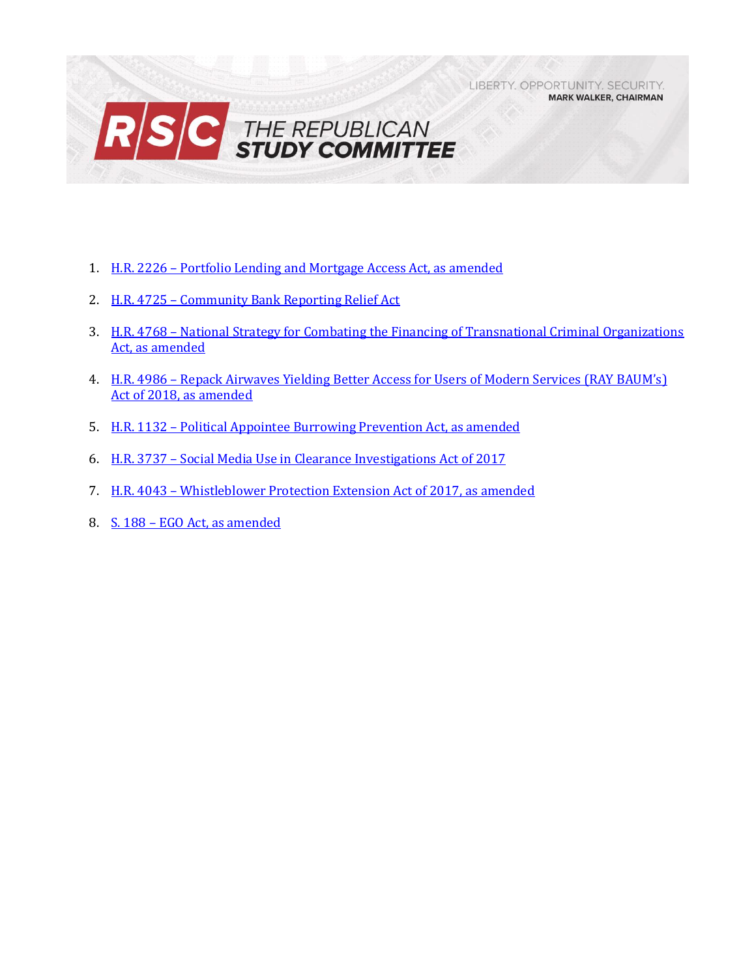LIBERTY. OPPORTUNITY. SECURITY. **MARK WALKER, CHAIRMAN** 



- 1. H.R. 2226 Portfolio Lending and [Mortgage Access Act, as amended](#page-1-0)
- 2. H.R. 4725 [Community Bank Reporting Relief Act](#page-2-0)
- 3. H.R. 4768 [National Strategy for Combating the Financing of Transnational Criminal Organizations](#page-4-0)  [Act, as amended](#page-4-0)
- 4. H.R. 4986 Repack Airwaves Yielding Better Access for Users of Modern Services (RAY BAUM's) [Act of 2018, as amended](#page-6-0)
- 5. H.R. 1132 [Political Appointee Burrowing Prevention Act, as amended](#page-10-0)
- 6. H.R. 3737 [Social Media Use in Clearance Investigations Act of 2017](#page-12-0)
- 7. H.R. 4043 [Whistleblower Protection Extension Act of 2017, as amended](#page-14-0)
- 8. S. 188 [EGO Act, as amended](#page-16-0)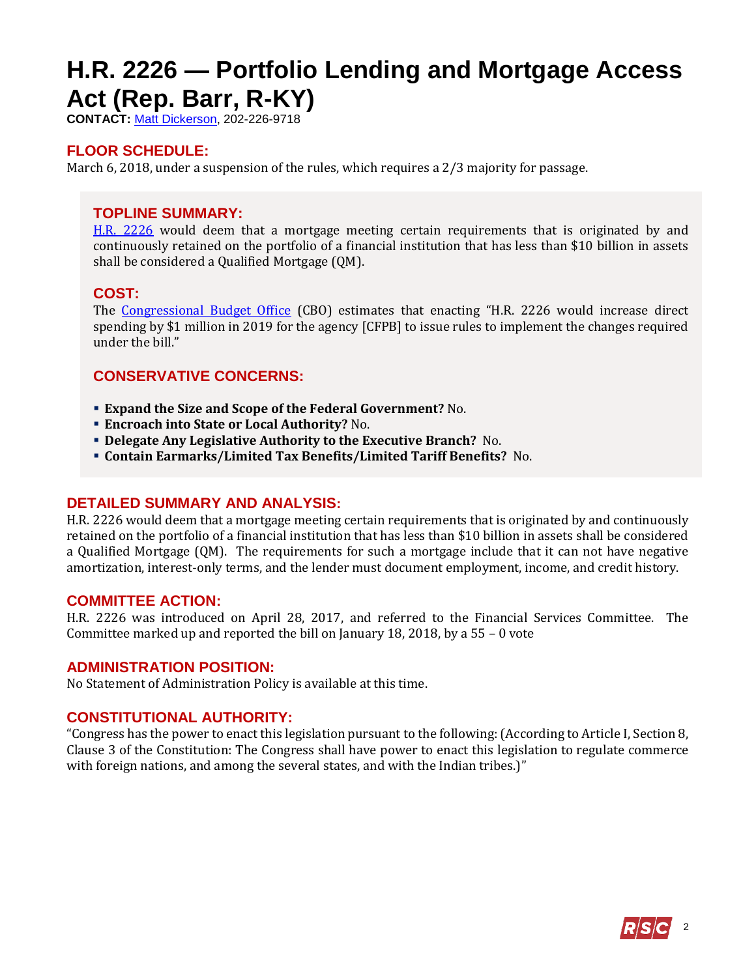# <span id="page-1-0"></span>**H.R. 2226 — Portfolio Lending and Mortgage Access Act (Rep. Barr, R-KY)**

**CONTACT:** [Matt Dickerson,](mailto:Matthew.Dickerson@mail.house.gov) 202-226-9718

## **FLOOR SCHEDULE:**

March 6, 2018, under a suspension of the rules, which requires a 2/3 majority for passage.

#### **TOPLINE SUMMARY:**

[H.R. 2226](http://docs.house.gov/billsthisweek/20180305/HR2226.pdf) would deem that a mortgage meeting certain requirements that is originated by and continuously retained on the portfolio of a financial institution that has less than \$10 billion in assets shall be considered a Qualified Mortgage (QM).

#### **COST:**

The [Congressional Budget Office](https://www.cbo.gov/system/files/115th-congress-2017-2018/costestimate/hr2226.pdf) (CBO) estimates that enacting "H.R. 2226 would increase direct spending by \$1 million in 2019 for the agency [CFPB] to issue rules to implement the changes required under the bill."

## **CONSERVATIVE CONCERNS:**

- **Expand the Size and Scope of the Federal Government?** No.
- **Encroach into State or Local Authority?** No.
- **Delegate Any Legislative Authority to the Executive Branch?** No.
- **Contain Earmarks/Limited Tax Benefits/Limited Tariff Benefits?** No.

#### **DETAILED SUMMARY AND ANALYSIS:**

H.R. 2226 would deem that a mortgage meeting certain requirements that is originated by and continuously retained on the portfolio of a financial institution that has less than \$10 billion in assets shall be considered a Qualified Mortgage (QM). The requirements for such a mortgage include that it can not have negative amortization, interest-only terms, and the lender must document employment, income, and credit history.

#### **COMMITTEE ACTION:**

H.R. 2226 was introduced on April 28, 2017, and referred to the Financial Services Committee. The Committee marked up and reported the bill on January 18, 2018, by a 55 – 0 vote

#### **ADMINISTRATION POSITION:**

No Statement of Administration Policy is available at this time.

#### **CONSTITUTIONAL AUTHORITY:**

"Congress has the power to enact this legislation pursuant to the following: (According to Article I, Section 8, Clause 3 of the Constitution: The Congress shall have power to enact this legislation to regulate commerce with foreign nations, and among the several states, and with the Indian tribes.)"

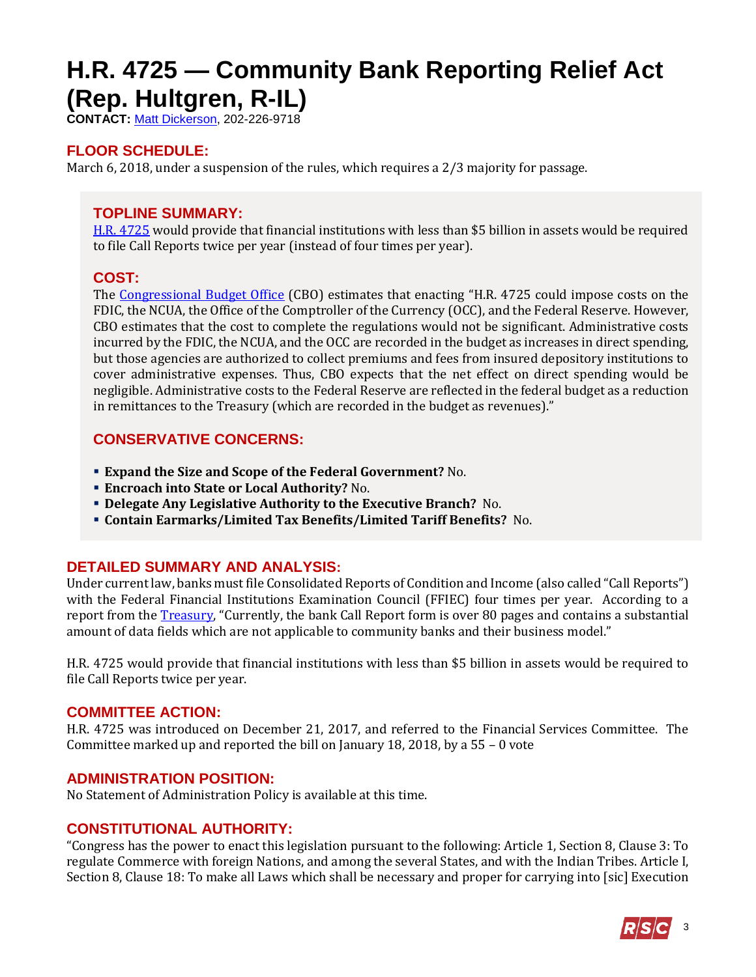# <span id="page-2-0"></span>**H.R. 4725 — Community Bank Reporting Relief Act (Rep. Hultgren, R-IL)**

**CONTACT:** [Matt Dickerson,](mailto:Matthew.Dickerson@mail.house.gov) 202-226-9718

# **FLOOR SCHEDULE:**

March 6, 2018, under a suspension of the rules, which requires a 2/3 majority for passage.

# **TOPLINE SUMMARY:**

[H.R. 4725](http://docs.house.gov/billsthisweek/20180305/HR4725.pdf) would provide that financial institutions with less than \$5 billion in assets would be required to file Call Reports twice per year (instead of four times per year).

# **COST:**

The [Congressional Budget Office](https://www.cbo.gov/system/files/115th-congress-2017-2018/costestimate/hr4725.pdf) (CBO) estimates that enacting "H.R. 4725 could impose costs on the FDIC, the NCUA, the Office of the Comptroller of the Currency (OCC), and the Federal Reserve. However, CBO estimates that the cost to complete the regulations would not be significant. Administrative costs incurred by the FDIC, the NCUA, and the OCC are recorded in the budget as increases in direct spending, but those agencies are authorized to collect premiums and fees from insured depository institutions to cover administrative expenses. Thus, CBO expects that the net effect on direct spending would be negligible. Administrative costs to the Federal Reserve are reflected in the federal budget as a reduction in remittances to the Treasury (which are recorded in the budget as revenues)."

# **CONSERVATIVE CONCERNS:**

- **Expand the Size and Scope of the Federal Government?** No.
- **Encroach into State or Local Authority?** No.
- **Delegate Any Legislative Authority to the Executive Branch?** No.
- **Contain Earmarks/Limited Tax Benefits/Limited Tariff Benefits?** No.

# **DETAILED SUMMARY AND ANALYSIS:**

Under current law, banks must file Consolidated Reports of Condition and Income (also called "Call Reports") with the Federal Financial Institutions Examination Council (FFIEC) four times per year. According to a report from the [Treasury](https://www.treasury.gov/press-center/press-releases/Documents/A%20Financial%20System.pdf), "Currently, the bank Call Report form is over 80 pages and contains a substantial amount of data fields which are not applicable to community banks and their business model."

H.R. 4725 would provide that financial institutions with less than \$5 billion in assets would be required to file Call Reports twice per year.

#### **COMMITTEE ACTION:**

H.R. 4725 was introduced on December 21, 2017, and referred to the Financial Services Committee. The Committee marked up and reported the bill on January 18, 2018, by a 55 – 0 vote

#### **ADMINISTRATION POSITION:**

No Statement of Administration Policy is available at this time.

# **CONSTITUTIONAL AUTHORITY:**

"Congress has the power to enact this legislation pursuant to the following: Article 1, Section 8, Clause 3: To regulate Commerce with foreign Nations, and among the several States, and with the Indian Tribes. Article I, Section 8, Clause 18: To make all Laws which shall be necessary and proper for carrying into [sic] Execution

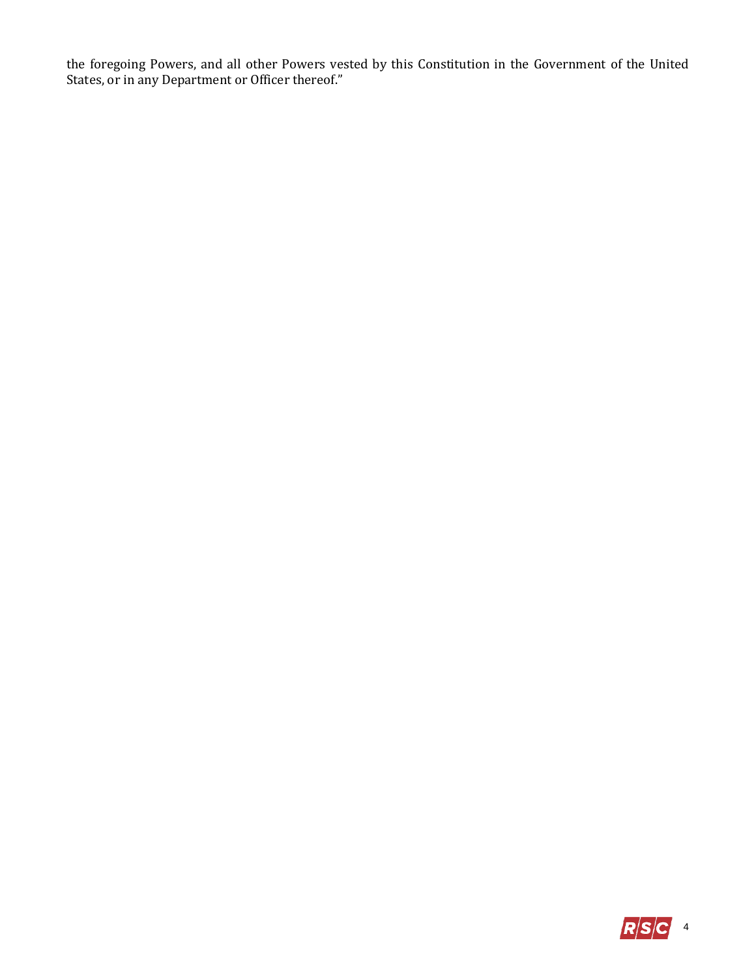the foregoing Powers, and all other Powers vested by this Constitution in the Government of the United States, or in any Department or Officer thereof."

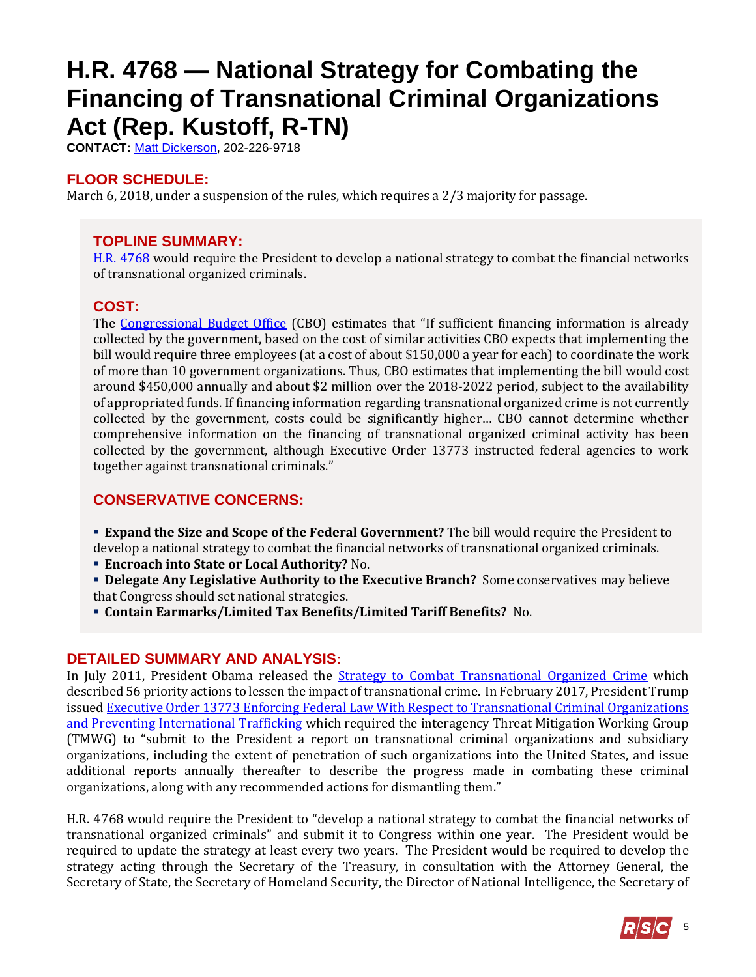# <span id="page-4-0"></span>**H.R. 4768 — National Strategy for Combating the Financing of Transnational Criminal Organizations Act (Rep. Kustoff, R-TN)**

**CONTACT:** [Matt Dickerson,](mailto:Matthew.Dickerson@mail.house.gov) 202-226-9718

# **FLOOR SCHEDULE:**

March 6, 2018, under a suspension of the rules, which requires a 2/3 majority for passage.

# **TOPLINE SUMMARY:**

[H.R. 4768](http://docs.house.gov/billsthisweek/20180305/HR4768.pdf) would require the President to develop a national strategy to combat the financial networks of transnational organized criminals.

# **COST:**

The [Congressional Budget Office](https://www.cbo.gov/system/files/115th-congress-2017-2018/costestimate/hr4768.pdf) (CBO) estimates that "If sufficient financing information is already collected by the government, based on the cost of similar activities CBO expects that implementing the bill would require three employees (at a cost of about \$150,000 a year for each) to coordinate the work of more than 10 government organizations. Thus, CBO estimates that implementing the bill would cost around \$450,000 annually and about \$2 million over the 2018-2022 period, subject to the availability of appropriated funds. If financing information regarding transnational organized crime is not currently collected by the government, costs could be significantly higher… CBO cannot determine whether comprehensive information on the financing of transnational organized criminal activity has been collected by the government, although Executive Order 13773 instructed federal agencies to work together against transnational criminals."

# **CONSERVATIVE CONCERNS:**

**Expand the Size and Scope of the Federal Government?** The bill would require the President to develop a national strategy to combat the financial networks of transnational organized criminals.

- **Encroach into State or Local Authority?** No.
- **Delegate Any Legislative Authority to the Executive Branch?** Some conservatives may believe that Congress should set national strategies.
- **Contain Earmarks/Limited Tax Benefits/Limited Tariff Benefits?** No.

# **DETAILED SUMMARY AND ANALYSIS:**

In July 2011, President Obama released the **[Strategy to Combat Transnational Organized Crime](https://obamawhitehouse.archives.gov/sites/default/files/Strategy_to_Combat_Transnational_Organized_Crime_July_2011.pdf)** which described 56 priority actions to lessen the impact of transnational crime. In February 2017, President Trump issue[d Executive Order 13773 Enforcing Federal Law With Respect to Transnational Criminal Organizations](https://www.gpo.gov/fdsys/pkg/DCPD-201700106/pdf/DCPD-201700106.pdf)  [and Preventing International Trafficking](https://www.gpo.gov/fdsys/pkg/DCPD-201700106/pdf/DCPD-201700106.pdf) which required the interagency Threat Mitigation Working Group (TMWG) to "submit to the President a report on transnational criminal organizations and subsidiary organizations, including the extent of penetration of such organizations into the United States, and issue additional reports annually thereafter to describe the progress made in combating these criminal organizations, along with any recommended actions for dismantling them."

H.R. 4768 would require the President to "develop a national strategy to combat the financial networks of transnational organized criminals" and submit it to Congress within one year. The President would be required to update the strategy at least every two years. The President would be required to develop the strategy acting through the Secretary of the Treasury, in consultation with the Attorney General, the Secretary of State, the Secretary of Homeland Security, the Director of National Intelligence, the Secretary of

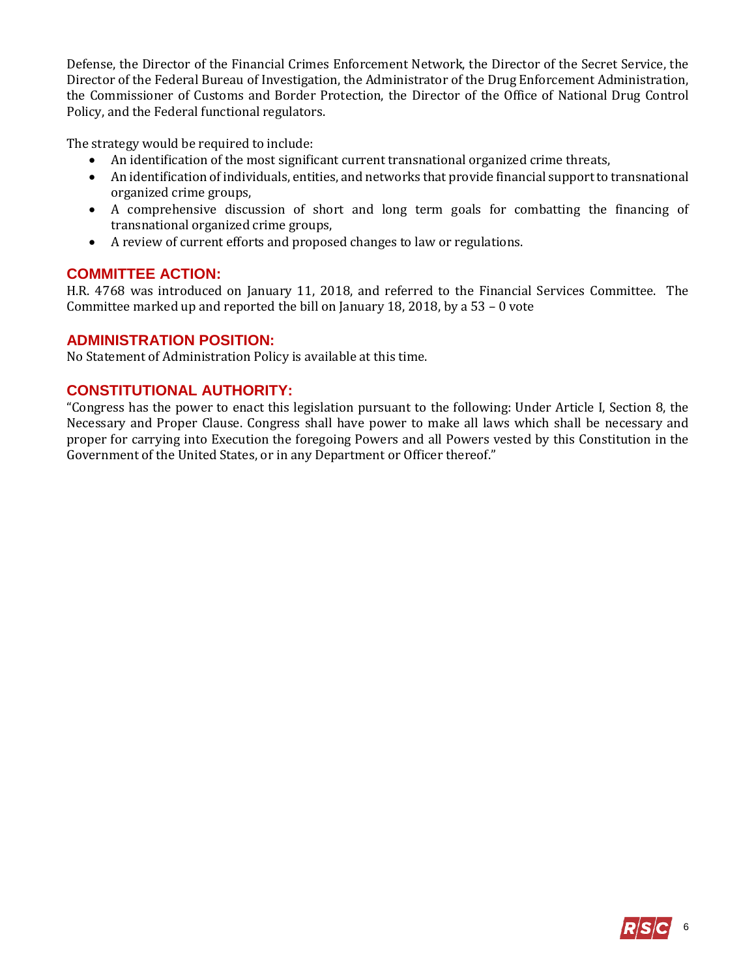Defense, the Director of the Financial Crimes Enforcement Network, the Director of the Secret Service, the Director of the Federal Bureau of Investigation, the Administrator of the Drug Enforcement Administration, the Commissioner of Customs and Border Protection, the Director of the Office of National Drug Control Policy, and the Federal functional regulators.

The strategy would be required to include:

- An identification of the most significant current transnational organized crime threats,
- An identification of individuals, entities, and networks that provide financial support to transnational organized crime groups,
- A comprehensive discussion of short and long term goals for combatting the financing of transnational organized crime groups,
- A review of current efforts and proposed changes to law or regulations.

#### **COMMITTEE ACTION:**

H.R. 4768 was introduced on January 11, 2018, and referred to the Financial Services Committee. The Committee marked up and reported the bill on January 18, 2018, by a  $53 - 0$  vote

#### **ADMINISTRATION POSITION:**

No Statement of Administration Policy is available at this time.

### **CONSTITUTIONAL AUTHORITY:**

"Congress has the power to enact this legislation pursuant to the following: Under Article I, Section 8, the Necessary and Proper Clause. Congress shall have power to make all laws which shall be necessary and proper for carrying into Execution the foregoing Powers and all Powers vested by this Constitution in the Government of the United States, or in any Department or Officer thereof."

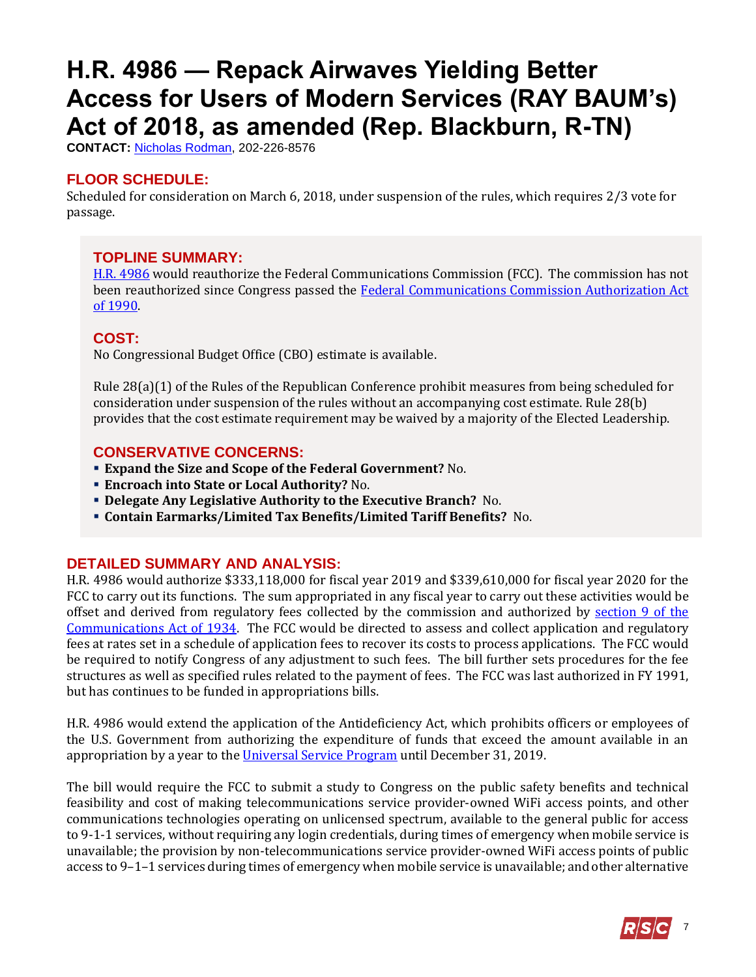# <span id="page-6-0"></span>**H.R. 4986 — Repack Airwaves Yielding Better Access for Users of Modern Services (RAY BAUM's) Act of 2018, as amended (Rep. Blackburn, R-TN)**

**CONTACT:** [Nicholas Rodman,](mailto:nicholas.rodman@mail.house.gov) 202-226-8576

# **FLOOR SCHEDULE:**

Scheduled for consideration on March 6, 2018, under suspension of the rules, which requires 2/3 vote for passage.

# **TOPLINE SUMMARY:**

[H.R. 4986](http://docs.house.gov/billsthisweek/20180305/HR4986.pdf) would reauthorize the Federal Communications Commission (FCC). The commission has not been reauthorized since Congress passed the Federal Communications Commission Authorization Act [of 1990.](https://www.congress.gov/bill/101st-congress/house-bill/3265/text) 

# **COST:**

No Congressional Budget Office (CBO) estimate is available.

Rule 28(a)(1) of the Rules of the Republican Conference prohibit measures from being scheduled for consideration under suspension of the rules without an accompanying cost estimate. Rule 28(b) provides that the cost estimate requirement may be waived by a majority of the Elected Leadership.

# **CONSERVATIVE CONCERNS:**

- **Expand the Size and Scope of the Federal Government?** No.
- **Encroach into State or Local Authority?** No.
- **Delegate Any Legislative Authority to the Executive Branch?** No.
- **Contain Earmarks/Limited Tax Benefits/Limited Tariff Benefits?** No.

# **DETAILED SUMMARY AND ANALYSIS:**

H.R. 4986 would authorize \$333,118,000 for fiscal year 2019 and \$339,610,000 for fiscal year 2020 for the FCC to carry out its functions. The sum appropriated in any fiscal year to carry out these activities would be offset and derived from regulatory fees collected by the commission and authorized by [section 9 of the](https://transition.fcc.gov/Reports/1934new.pdf)  [Communications Act](https://transition.fcc.gov/Reports/1934new.pdf) of 1934. The FCC would be directed to assess and collect application and regulatory fees at rates set in a schedule of application fees to recover its costs to process applications. The FCC would be required to notify Congress of any adjustment to such fees. The bill further sets procedures for the fee structures as well as specified rules related to the payment of fees. The FCC was last authorized in FY 1991, but has continues to be funded in appropriations bills.

H.R. 4986 would extend the application of the Antideficiency Act, which prohibits officers or employees of the U.S. Government from authorizing the expenditure of funds that exceed the amount available in an appropriation by a year to the [Universal Service Program](https://www.fcc.gov/general/universal-service) until December 31, 2019.

The bill would require the FCC to submit a study to Congress on the public safety benefits and technical feasibility and cost of making telecommunications service provider-owned WiFi access points, and other communications technologies operating on unlicensed spectrum, available to the general public for access to 9-1-1 services, without requiring any login credentials, during times of emergency when mobile service is unavailable; the provision by non-telecommunications service provider-owned WiFi access points of public access to 9–1–1 services during times of emergency when mobile service is unavailable; and other alternative

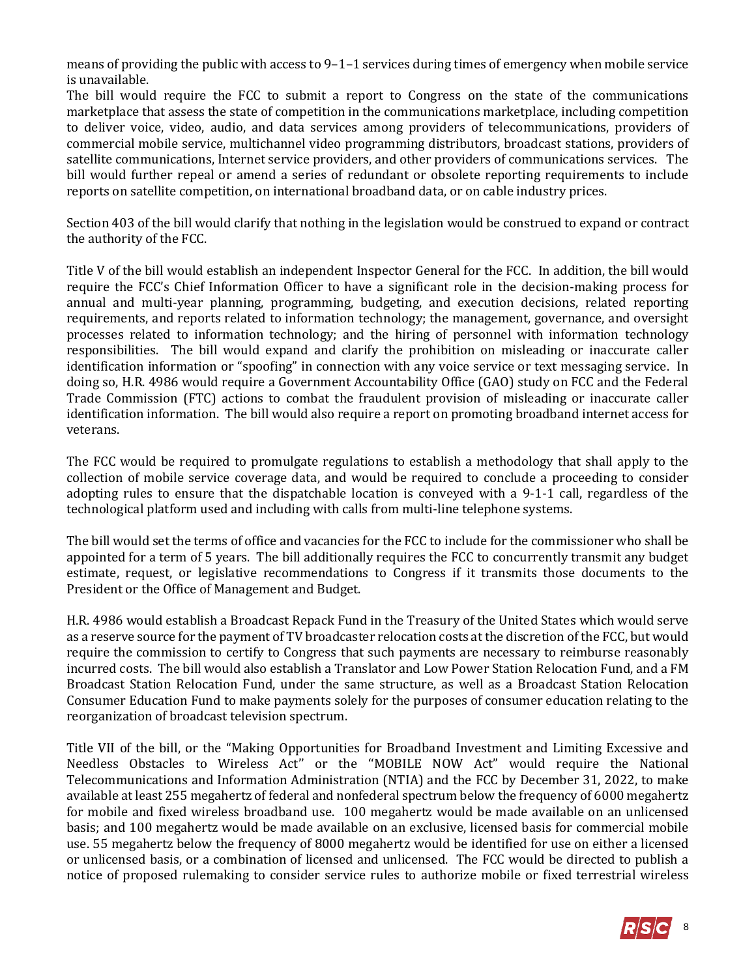means of providing the public with access to 9–1–1 services during times of emergency when mobile service is unavailable.

The bill would require the FCC to submit a report to Congress on the state of the communications marketplace that assess the state of competition in the communications marketplace, including competition to deliver voice, video, audio, and data services among providers of telecommunications, providers of commercial mobile service, multichannel video programming distributors, broadcast stations, providers of satellite communications, Internet service providers, and other providers of communications services. The bill would further repeal or amend a series of redundant or obsolete reporting requirements to include reports on satellite competition, on international broadband data, or on cable industry prices.

Section 403 of the bill would clarify that nothing in the legislation would be construed to expand or contract the authority of the FCC.

Title V of the bill would establish an independent Inspector General for the FCC. In addition, the bill would require the FCC's Chief Information Officer to have a significant role in the decision-making process for annual and multi-year planning, programming, budgeting, and execution decisions, related reporting requirements, and reports related to information technology; the management, governance, and oversight processes related to information technology; and the hiring of personnel with information technology responsibilities. The bill would expand and clarify the prohibition on misleading or inaccurate caller identification information or "spoofing" in connection with any voice service or text messaging service. In doing so, H.R. 4986 would require a Government Accountability Office (GAO) study on FCC and the Federal Trade Commission (FTC) actions to combat the fraudulent provision of misleading or inaccurate caller identification information. The bill would also require a report on promoting broadband internet access for veterans.

The FCC would be required to promulgate regulations to establish a methodology that shall apply to the collection of mobile service coverage data, and would be required to conclude a proceeding to consider adopting rules to ensure that the dispatchable location is conveyed with a 9-1-1 call, regardless of the technological platform used and including with calls from multi-line telephone systems.

The bill would set the terms of office and vacancies for the FCC to include for the commissioner who shall be appointed for a term of 5 years. The bill additionally requires the FCC to concurrently transmit any budget estimate, request, or legislative recommendations to Congress if it transmits those documents to the President or the Office of Management and Budget.

H.R. 4986 would establish a Broadcast Repack Fund in the Treasury of the United States which would serve as a reserve source for the payment of TV broadcaster relocation costs at the discretion of the FCC, but would require the commission to certify to Congress that such payments are necessary to reimburse reasonably incurred costs. The bill would also establish a Translator and Low Power Station Relocation Fund, and a FM Broadcast Station Relocation Fund, under the same structure, as well as a Broadcast Station Relocation Consumer Education Fund to make payments solely for the purposes of consumer education relating to the reorganization of broadcast television spectrum.

Title VII of the bill, or the "Making Opportunities for Broadband Investment and Limiting Excessive and Needless Obstacles to Wireless Act'' or the ''MOBILE NOW Act" would require the National Telecommunications and Information Administration (NTIA) and the FCC by December 31, 2022, to make available at least 255 megahertz of federal and nonfederal spectrum below the frequency of 6000 megahertz for mobile and fixed wireless broadband use. 100 megahertz would be made available on an unlicensed basis; and 100 megahertz would be made available on an exclusive, licensed basis for commercial mobile use. 55 megahertz below the frequency of 8000 megahertz would be identified for use on either a licensed or unlicensed basis, or a combination of licensed and unlicensed. The FCC would be directed to publish a notice of proposed rulemaking to consider service rules to authorize mobile or fixed terrestrial wireless

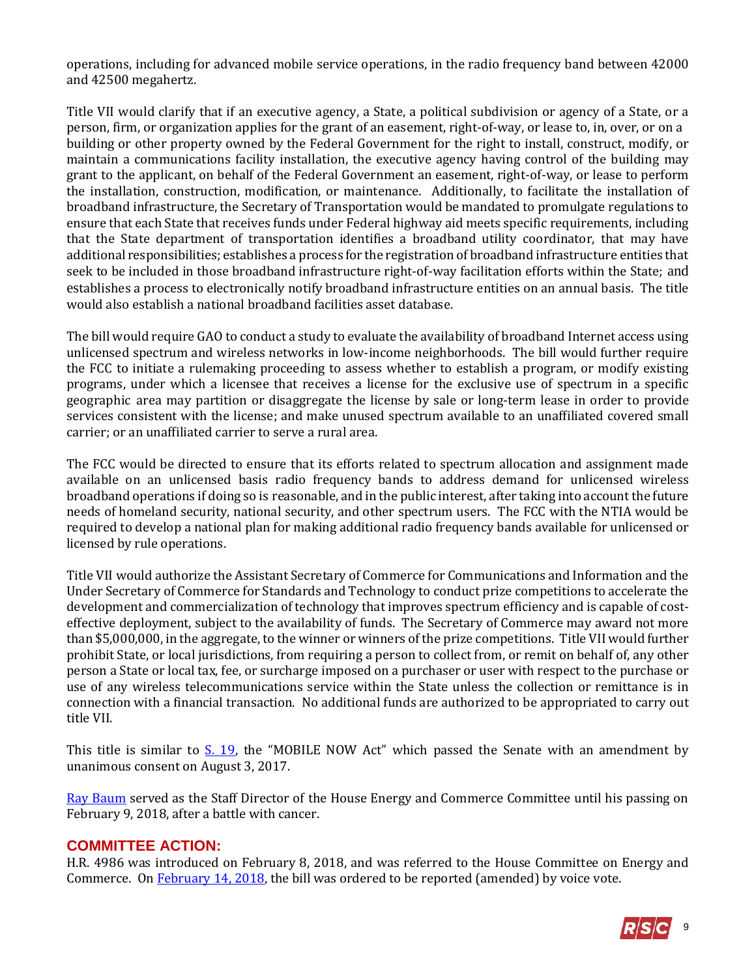operations, including for advanced mobile service operations, in the radio frequency band between 42000 and 42500 megahertz.

Title VII would clarify that if an executive agency, a State, a political subdivision or agency of a State, or a person, firm, or organization applies for the grant of an easement, right-of-way, or lease to, in, over, or on a building or other property owned by the Federal Government for the right to install, construct, modify, or maintain a communications facility installation, the executive agency having control of the building may grant to the applicant, on behalf of the Federal Government an easement, right-of-way, or lease to perform the installation, construction, modification, or maintenance. Additionally, to facilitate the installation of broadband infrastructure, the Secretary of Transportation would be mandated to promulgate regulations to ensure that each State that receives funds under Federal highway aid meets specific requirements, including that the State department of transportation identifies a broadband utility coordinator, that may have additional responsibilities; establishes a process for the registration of broadband infrastructure entities that seek to be included in those broadband infrastructure right-of-way facilitation efforts within the State; and establishes a process to electronically notify broadband infrastructure entities on an annual basis. The title would also establish a national broadband facilities asset database.

The bill would require GAO to conduct a study to evaluate the availability of broadband Internet access using unlicensed spectrum and wireless networks in low-income neighborhoods. The bill would further require the FCC to initiate a rulemaking proceeding to assess whether to establish a program, or modify existing programs, under which a licensee that receives a license for the exclusive use of spectrum in a specific geographic area may partition or disaggregate the license by sale or long-term lease in order to provide services consistent with the license; and make unused spectrum available to an unaffiliated covered small carrier; or an unaffiliated carrier to serve a rural area.

The FCC would be directed to ensure that its efforts related to spectrum allocation and assignment made available on an unlicensed basis radio frequency bands to address demand for unlicensed wireless broadband operations if doing so is reasonable, and in the public interest, after taking into account the future needs of homeland security, national security, and other spectrum users. The FCC with the NTIA would be required to develop a national plan for making additional radio frequency bands available for unlicensed or licensed by rule operations.

Title VII would authorize the Assistant Secretary of Commerce for Communications and Information and the Under Secretary of Commerce for Standards and Technology to conduct prize competitions to accelerate the development and commercialization of technology that improves spectrum efficiency and is capable of costeffective deployment, subject to the availability of funds. The Secretary of Commerce may award not more than \$5,000,000, in the aggregate, to the winner or winners of the prize competitions. Title VII would further prohibit State, or local jurisdictions, from requiring a person to collect from, or remit on behalf of, any other person a State or local tax, fee, or surcharge imposed on a purchaser or user with respect to the purchase or use of any wireless telecommunications service within the State unless the collection or remittance is in connection with a financial transaction. No additional funds are authorized to be appropriated to carry out title VII.

This title is similar to  $S. 19$ , the "MOBILE NOW Act" which passed the Senate with an amendment by unanimous consent on August 3, 2017.

[Ray Baum](https://energycommerce.house.gov/news/press-release/chairman-greg-walden-passing-ec-staff-director-ray-baum/) served as the Staff Director of the House Energy and Commerce Committee until his passing on February 9, 2018, after a battle with cancer.

#### **COMMITTEE ACTION:**

H.R. 4986 was introduced on February 8, 2018, and was referred to the House Committee on Energy and Commerce. On [February 14, 2018,](https://energycommerce.house.gov/markups/energy-commerce-committee-vote-h-r-3477-h-r-1876-h-r-4986/) the bill was ordered to be reported (amended) by voice vote.

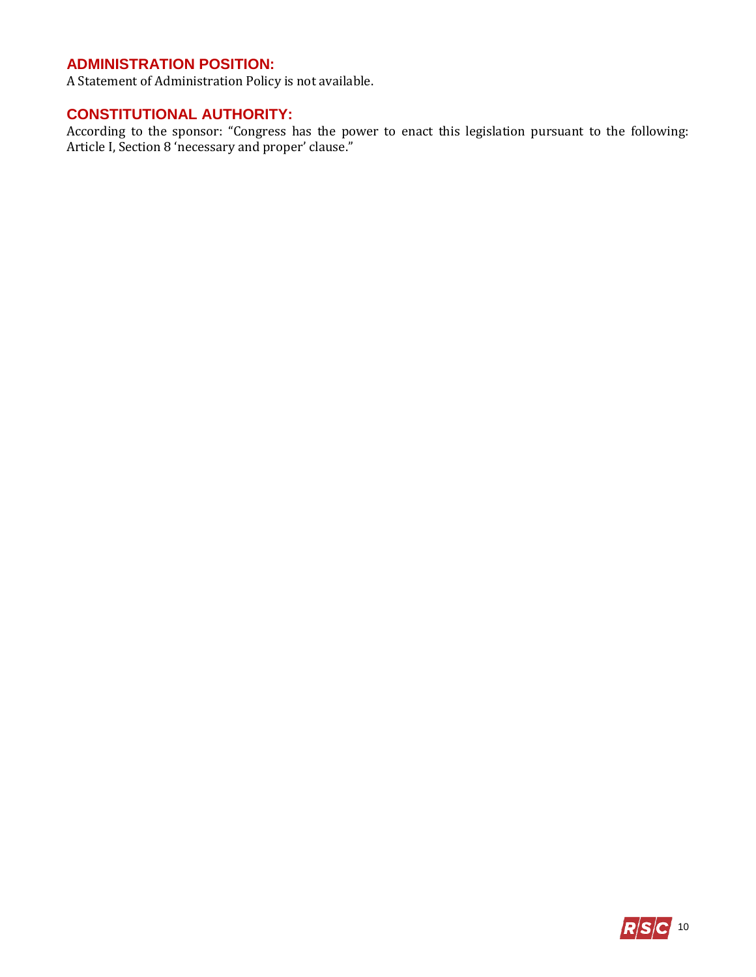# **ADMINISTRATION POSITION:**

A Statement of Administration Policy is not available.

# **CONSTITUTIONAL AUTHORITY:**

According to the sponsor: "Congress has the power to enact this legislation pursuant to the following: Article I, Section 8 'necessary and proper' clause."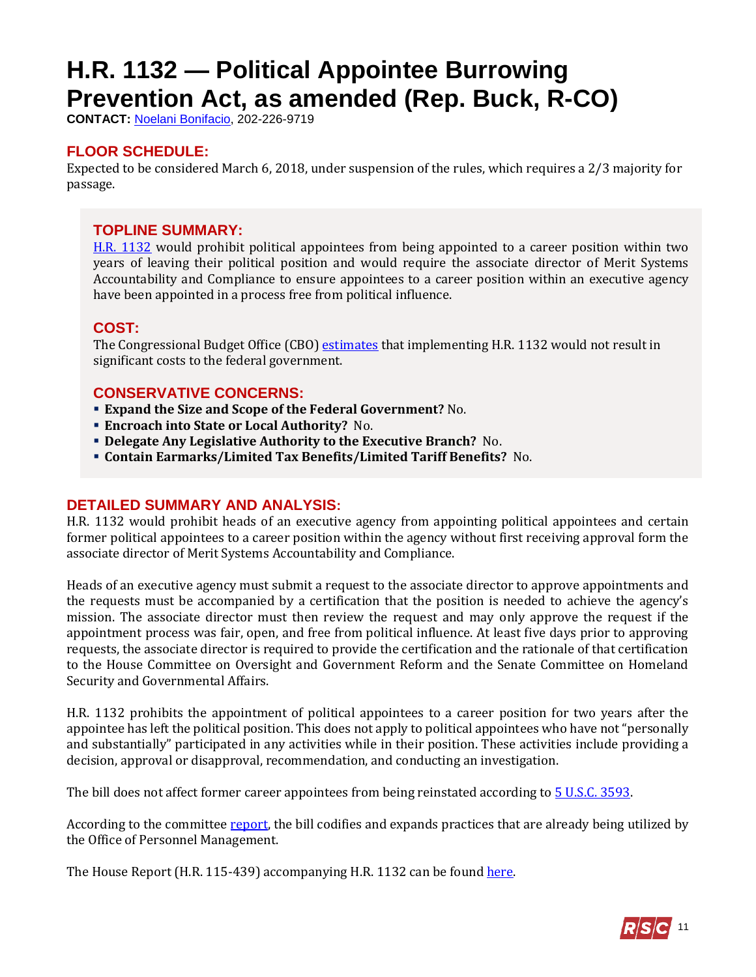# <span id="page-10-0"></span>**H.R. 1132 — Political Appointee Burrowing Prevention Act, as amended (Rep. Buck, R-CO)**

**CONTACT:** [Noelani Bonifacio,](mailto:Noelani.Bonifacio@mail.house.gov) 202-226-9719

# **FLOOR SCHEDULE:**

Expected to be considered March 6, 2018, under suspension of the rules, which requires a 2/3 majority for passage.

### **TOPLINE SUMMARY:**

[H.R. 1132](http://docs.house.gov/billsthisweek/20180305/HR1132-1.pdf) would prohibit political appointees from being appointed to a career position within two years of leaving their political position and would require the associate director of Merit Systems Accountability and Compliance to ensure appointees to a career position within an executive agency have been appointed in a process free from political influence.

### **COST:**

The Congressional Budget Office (CBO) [estimates](https://www.cbo.gov/system/files/115th-congress-2017-2018/costestimate/hr1132.pdf) that implementing H.R. 1132 would not result in significant costs to the federal government.

### **CONSERVATIVE CONCERNS:**

- **Expand the Size and Scope of the Federal Government?** No.
- **Encroach into State or Local Authority?** No.
- **Delegate Any Legislative Authority to the Executive Branch?** No.
- **Contain Earmarks/Limited Tax Benefits/Limited Tariff Benefits?** No.

# **DETAILED SUMMARY AND ANALYSIS:**

H.R. 1132 would prohibit heads of an executive agency from appointing political appointees and certain former political appointees to a career position within the agency without first receiving approval form the associate director of Merit Systems Accountability and Compliance.

Heads of an executive agency must submit a request to the associate director to approve appointments and the requests must be accompanied by a certification that the position is needed to achieve the agency's mission. The associate director must then review the request and may only approve the request if the appointment process was fair, open, and free from political influence. At least five days prior to approving requests, the associate director is required to provide the certification and the rationale of that certification to the House Committee on Oversight and Government Reform and the Senate Committee on Homeland Security and Governmental Affairs.

H.R. 1132 prohibits the appointment of political appointees to a career position for two years after the appointee has left the political position. This does not apply to political appointees who have not "personally and substantially" participated in any activities while in their position. These activities include providing a decision, approval or disapproval, recommendation, and conducting an investigation.

The bill does not affect former career appointees from being reinstated according to  $5$  U.S.C. 3593.

According to the committee [report,](https://www.congress.gov/115/crpt/hrpt439/CRPT-115hrpt439.pdf) the bill codifies and expands practices that are already being utilized by the Office of Personnel Management.

The House Report (H.R. 115-439) accompanying H.R. 1132 can be foun[d here.](https://www.congress.gov/115/crpt/hrpt439/CRPT-115hrpt439.pdf)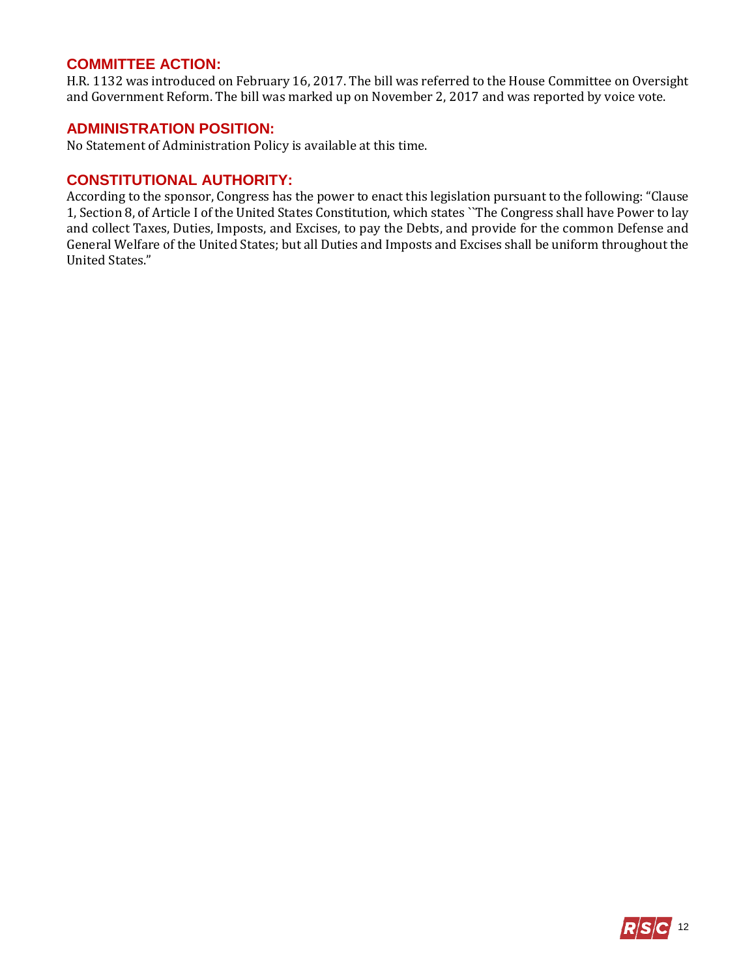#### **COMMITTEE ACTION:**

H.R. 1132 was introduced on February 16, 2017. The bill was referred to the House Committee on Oversight and Government Reform. The bill was marked up on November 2, 2017 and was reported by voice vote.

#### **ADMINISTRATION POSITION:**

No Statement of Administration Policy is available at this time.

### **CONSTITUTIONAL AUTHORITY:**

According to the sponsor, Congress has the power to enact this legislation pursuant to the following: "Clause 1, Section 8, of Article I of the United States Constitution, which states ``The Congress shall have Power to lay and collect Taxes, Duties, Imposts, and Excises, to pay the Debts, and provide for the common Defense and General Welfare of the United States; but all Duties and Imposts and Excises shall be uniform throughout the United States."

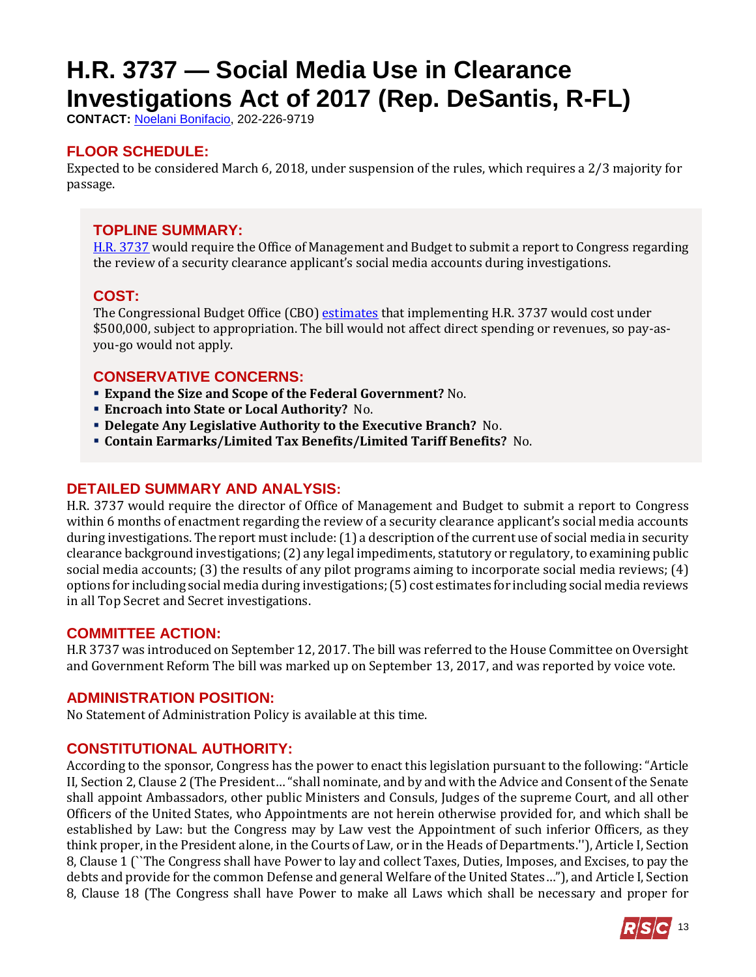# <span id="page-12-0"></span>**H.R. 3737 — Social Media Use in Clearance Investigations Act of 2017 (Rep. DeSantis, R-FL)**

**CONTACT:** [Noelani Bonifacio,](mailto:Noelani.Bonifacio@mail.house.gov) 202-226-9719

# **FLOOR SCHEDULE:**

Expected to be considered March 6, 2018, under suspension of the rules, which requires a 2/3 majority for passage.

## **TOPLINE SUMMARY:**

[H.R. 3737](https://www.congress.gov/115/bills/hr3737/BILLS-115hr3737rh.pdf) would require the Office of Management and Budget to submit a report to Congress regarding the review of a security clearance applicant's social media accounts during investigations.

# **COST:**

The Congressional Budget Office (CBO) [estimates](https://www.cbo.gov/system/files/115th-congress-2017-2018/costestimate/hr3737.pdf) that implementing H.R. 3737 would cost under \$500,000, subject to appropriation. The bill would not affect direct spending or revenues, so pay-asyou-go would not apply.

# **CONSERVATIVE CONCERNS:**

- **Expand the Size and Scope of the Federal Government?** No.
- **Encroach into State or Local Authority?** No.
- **Delegate Any Legislative Authority to the Executive Branch?** No.
- **Contain Earmarks/Limited Tax Benefits/Limited Tariff Benefits?** No.

#### **DETAILED SUMMARY AND ANALYSIS:**

H.R. 3737 would require the director of Office of Management and Budget to submit a report to Congress within 6 months of enactment regarding the review of a security clearance applicant's social media accounts during investigations. The report must include:(1) a description of the current use of social media in security clearance background investigations; (2) any legal impediments, statutory or regulatory, to examining public social media accounts; (3) the results of any pilot programs aiming to incorporate social media reviews; (4) options for including social media during investigations; (5) cost estimates for including social media reviews in all Top Secret and Secret investigations.

#### **COMMITTEE ACTION:**

H.R 3737 was introduced on September 12, 2017. The bill was referred to the House Committee on Oversight and Government Reform The bill was marked up on September 13, 2017, and was reported by voice vote.

#### **ADMINISTRATION POSITION:**

No Statement of Administration Policy is available at this time.

# **CONSTITUTIONAL AUTHORITY:**

According to the sponsor, Congress has the power to enact this legislation pursuant to the following: "Article II, Section 2, Clause 2 (The President… "shall nominate, and by and with the Advice and Consent of the Senate shall appoint Ambassadors, other public Ministers and Consuls, Judges of the supreme Court, and all other Officers of the United States, who Appointments are not herein otherwise provided for, and which shall be established by Law: but the Congress may by Law vest the Appointment of such inferior Officers, as they think proper, in the President alone, in the Courts of Law, or in the Heads of Departments.''), Article I, Section 8, Clause 1 (``The Congress shall have Power to lay and collect Taxes, Duties, Imposes, and Excises, to pay the debts and provide for the common Defense and general Welfare of the United States…"), and Article I, Section 8, Clause 18 (The Congress shall have Power to make all Laws which shall be necessary and proper for

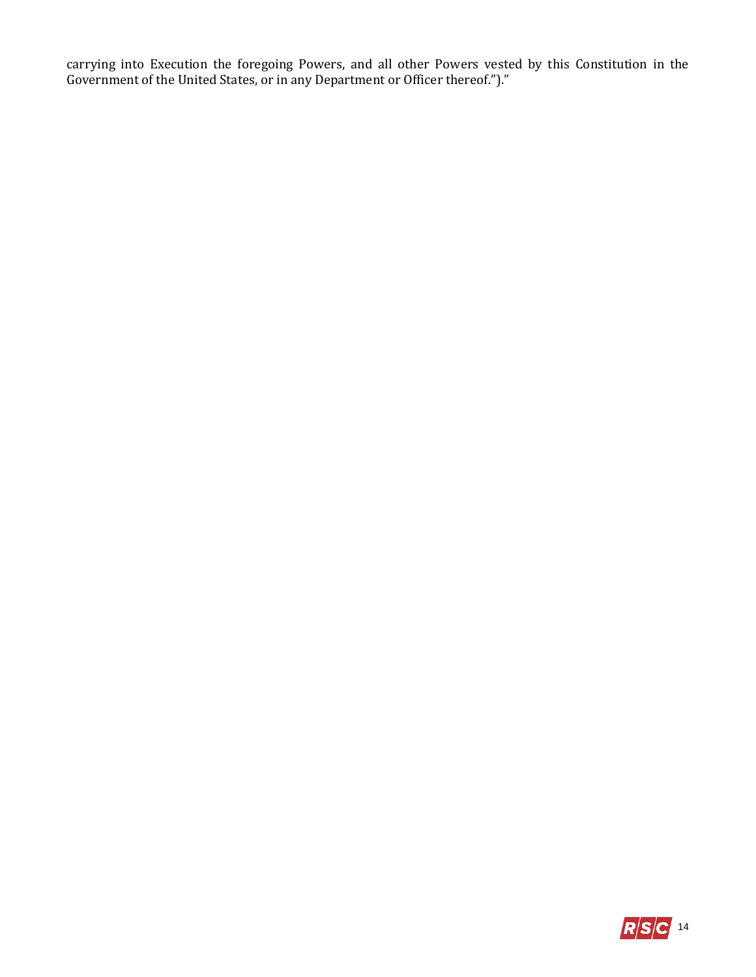carrying into Execution the foregoing Powers, and all other Powers vested by this Constitution in the Government of the United States, or in any Department or Officer thereof.")."

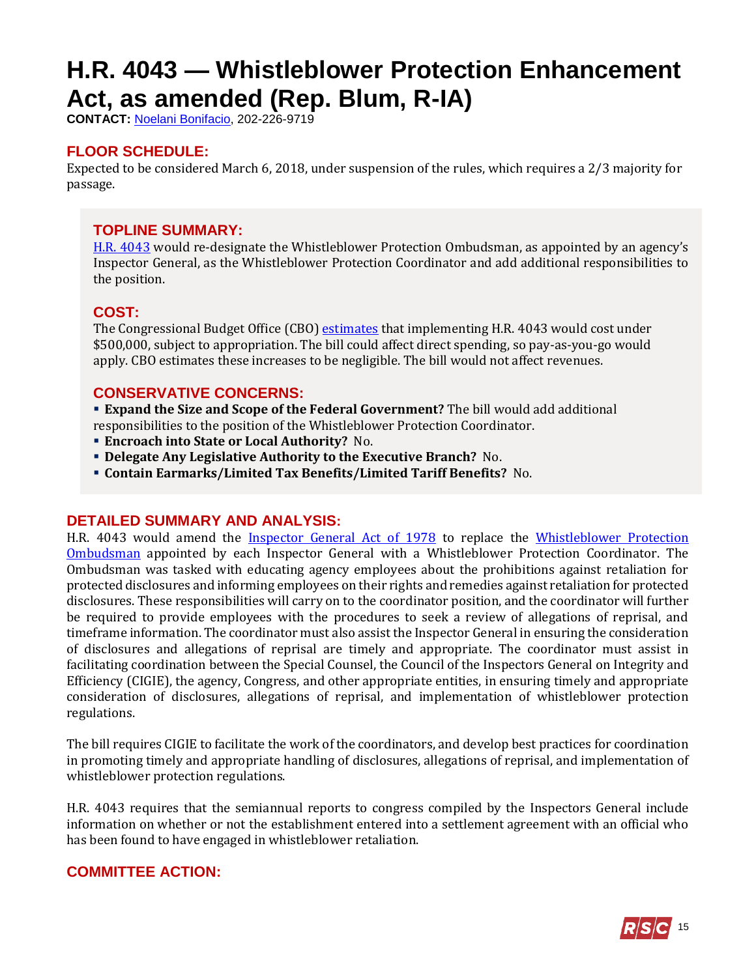# <span id="page-14-0"></span>**H.R. 4043 — Whistleblower Protection Enhancement Act, as amended (Rep. Blum, R-IA)**

**CONTACT:** [Noelani Bonifacio,](mailto:Noelani.Bonifacio@mail.house.gov) 202-226-9719

# **FLOOR SCHEDULE:**

Expected to be considered March 6, 2018, under suspension of the rules, which requires a 2/3 majority for passage.

### **TOPLINE SUMMARY:**

[H.R. 4043](https://www.congress.gov/115/bills/hr4043/BILLS-115hr4043rh.pdf) would re-designate the Whistleblower Protection Ombudsman, as appointed by an agency's Inspector General, as the Whistleblower Protection Coordinator and add additional responsibilities to the position.

# **COST:**

The Congressional Budget Office (CBO) [estimates](https://www.cbo.gov/system/files/115th-congress-2017-2018/costestimate/hr4043.pdf) that implementing H.R. 4043 would cost under \$500,000, subject to appropriation. The bill could affect direct spending, so pay-as-you-go would apply. CBO estimates these increases to be negligible. The bill would not affect revenues.

### **CONSERVATIVE CONCERNS:**

 **Expand the Size and Scope of the Federal Government?** The bill would add additional responsibilities to the position of the Whistleblower Protection Coordinator.

- **Encroach into State or Local Authority?** No.
- **Delegate Any Legislative Authority to the Executive Branch?** No.
- **Contain Earmarks/Limited Tax Benefits/Limited Tariff Benefits?** No.

#### **DETAILED SUMMARY AND ANALYSIS:**

H.R. 4043 would amend the [Inspector General Act of 1978](http://uscode.house.gov/view.xhtml?path=/prelim@title5/title5a/node20&edition=prelim) to replace the Whistleblower Protection [Ombudsman](http://uscode.house.gov/statviewer.htm?volume=126&page=1475) appointed by each Inspector General with a Whistleblower Protection Coordinator. The Ombudsman was tasked with educating agency employees about the prohibitions against retaliation for protected disclosures and informing employees on their rights and remedies against retaliation for protected disclosures. These responsibilities will carry on to the coordinator position, and the coordinator will further be required to provide employees with the procedures to seek a review of allegations of reprisal, and timeframe information. The coordinator must also assist the Inspector General in ensuring the consideration of disclosures and allegations of reprisal are timely and appropriate. The coordinator must assist in facilitating coordination between the Special Counsel, the Council of the Inspectors General on Integrity and Efficiency (CIGIE), the agency, Congress, and other appropriate entities, in ensuring timely and appropriate consideration of disclosures, allegations of reprisal, and implementation of whistleblower protection regulations.

The bill requires CIGIE to facilitate the work of the coordinators, and develop best practices for coordination in promoting timely and appropriate handling of disclosures, allegations of reprisal, and implementation of whistleblower protection regulations.

H.R. 4043 requires that the semiannual reports to congress compiled by the Inspectors General include information on whether or not the establishment entered into a settlement agreement with an official who has been found to have engaged in whistleblower retaliation.

# **COMMITTEE ACTION:**

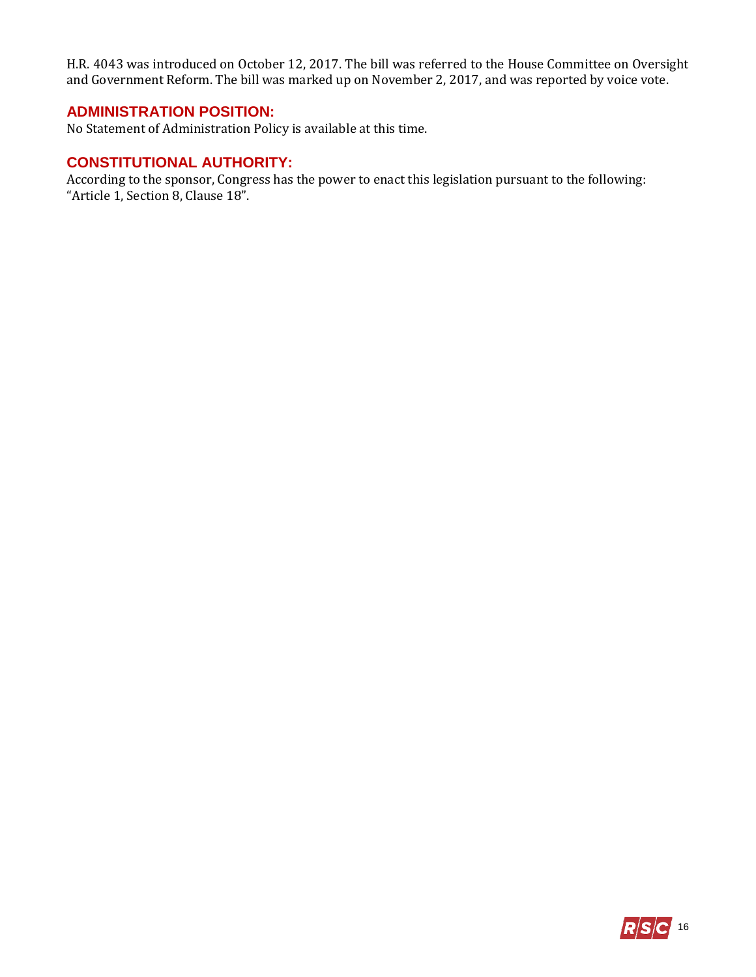H.R. 4043 was introduced on October 12, 2017. The bill was referred to the House Committee on Oversight and Government Reform. The bill was marked up on November 2, 2017, and was reported by voice vote.

## **ADMINISTRATION POSITION:**

No Statement of Administration Policy is available at this time.

#### **CONSTITUTIONAL AUTHORITY:**

According to the sponsor, Congress has the power to enact this legislation pursuant to the following: "Article 1, Section 8, Clause 18".